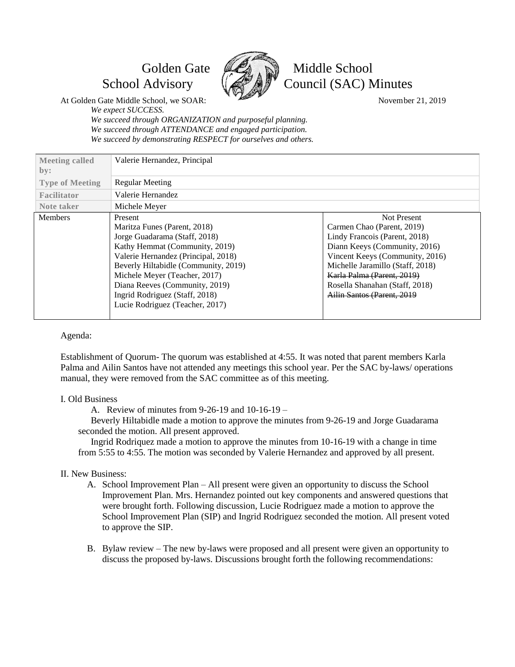

# Golden Gate **Les** N Middle School School Advisory  $\left(\sqrt{\frac{2}{M}}\right)^{n}$  Council (SAC) Minutes

At Golden Gate Middle School, we SOAR: November 21, 2019

*We expect SUCCESS.*

*We succeed through ORGANIZATION and purposeful planning. We succeed through ATTENDANCE and engaged participation. We succeed by demonstrating RESPECT for ourselves and others.*

| <b>Meeting called</b><br>by: | Valerie Hernandez, Principal         |                                  |
|------------------------------|--------------------------------------|----------------------------------|
| <b>Type of Meeting</b>       | Regular Meeting                      |                                  |
| Facilitator                  | Valerie Hernandez                    |                                  |
| Note taker                   | Michele Meyer                        |                                  |
| <b>Members</b>               | Present                              | <b>Not Present</b>               |
|                              | Maritza Funes (Parent, 2018)         | Carmen Chao (Parent, 2019)       |
|                              | Jorge Guadarama (Staff, 2018)        | Lindy Francois (Parent, 2018)    |
|                              | Kathy Hemmat (Community, 2019)       | Diann Keeys (Community, 2016)    |
|                              | Valerie Hernandez (Principal, 2018)  | Vincent Keeys (Community, 2016)  |
|                              | Beverly Hiltabidle (Community, 2019) | Michelle Jaramillo (Staff, 2018) |
|                              | Michele Meyer (Teacher, 2017)        | Karla Palma (Parent, 2019)       |
|                              | Diana Reeves (Community, 2019)       | Rosella Shanahan (Staff, 2018)   |
|                              | Ingrid Rodriguez (Staff, 2018)       | Ailin Santos (Parent, 2019)      |
|                              | Lucie Rodriguez (Teacher, 2017)      |                                  |
|                              |                                      |                                  |

### Agenda:

Establishment of Quorum- The quorum was established at 4:55. It was noted that parent members Karla Palma and Ailin Santos have not attended any meetings this school year. Per the SAC by-laws/ operations manual, they were removed from the SAC committee as of this meeting.

### I. Old Business

A. Review of minutes from 9-26-19 and 10-16-19 –

Beverly Hiltabidle made a motion to approve the minutes from 9-26-19 and Jorge Guadarama seconded the motion. All present approved.

Ingrid Rodriquez made a motion to approve the minutes from 10-16-19 with a change in time from 5:55 to 4:55. The motion was seconded by Valerie Hernandez and approved by all present.

# II. New Business:

- A. School Improvement Plan All present were given an opportunity to discuss the School Improvement Plan. Mrs. Hernandez pointed out key components and answered questions that were brought forth. Following discussion, Lucie Rodriguez made a motion to approve the School Improvement Plan (SIP) and Ingrid Rodriguez seconded the motion. All present voted to approve the SIP.
- B. Bylaw review The new by-laws were proposed and all present were given an opportunity to discuss the proposed by-laws. Discussions brought forth the following recommendations: